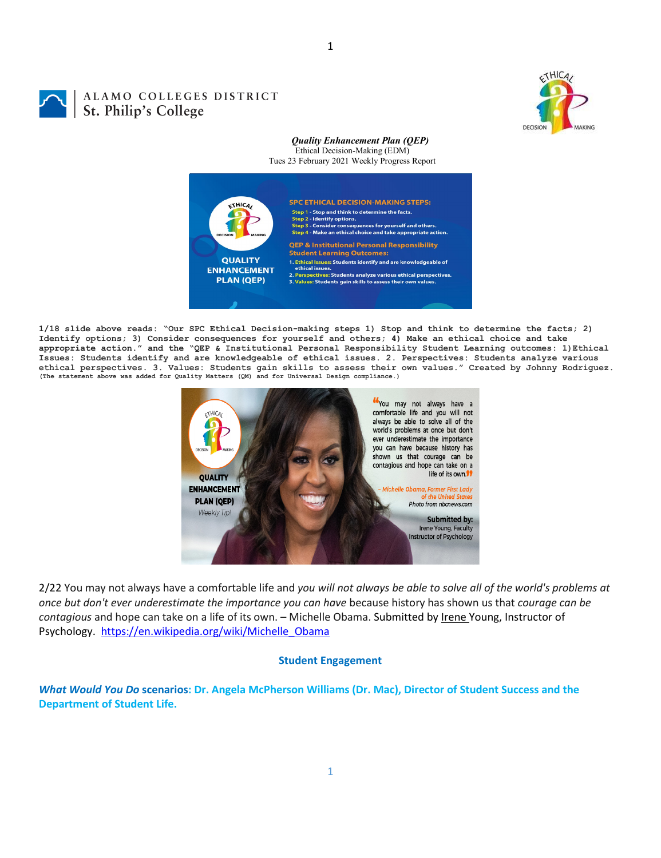

# ALAMO COLLEGES DISTRICT St. Philip's College

## *Quality Enhancement Plan (QEP)* Ethical Decision-Making (EDM)

Tues 23 February 2021 Weekly Progress Report



1

**1/18 slide above reads: "Our SPC Ethical Decision-making steps 1) Stop and think to determine the facts; 2) Identify options; 3) Consider consequences for yourself and others; 4) Make an ethical choice and take appropriate action." and the "QEP & Institutional Personal Responsibility Student Learning outcomes: 1)Ethical Issues: Students identify and are knowledgeable of ethical issues. 2. Perspectives: Students analyze various**  ethical perspectives. 3. Values: Students gain skills to assess their own values." Created by Johnny Rodriguez.<br>(The statement above was added for Quality Matters (QM) and for Universal Design compliance.)



2/22 You may not always have a comfortable life and *you will not always be able to solve all of the world's problems at once but don't ever underestimate the importance you can have* because history has shown us that *courage can be contagious* and hope can take on a life of its own. – Michelle Obama. Submitted by Irene Young, Instructor of Psychology. [https://en.wikipedia.org/wiki/Michelle\\_Obama](https://en.wikipedia.org/wiki/Michelle_Obama)

# **Student Engagement**

*What Would You Do* **scenarios: Dr. Angela McPherson Williams (Dr. Mac), Director of Student Success and the Department of Student Life.**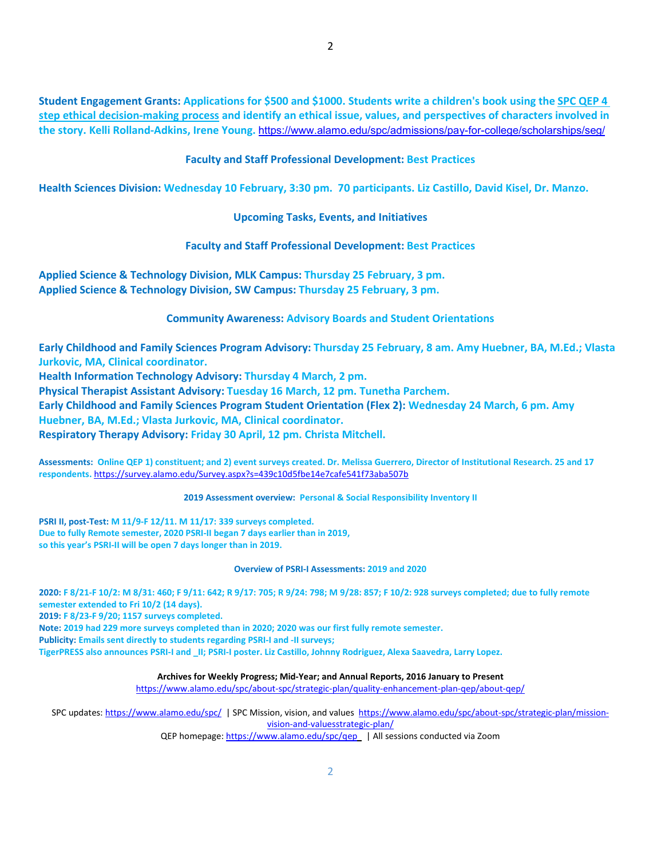**Student Engagement Grants: Applications for \$500 and \$1000. Students write a children's book using the [SPC QEP 4](https://mail.alamo.edu/owa/redir.aspx?REF=QPGGgOE-3HbbrbCAzqBFQWbtY3e2Gc0f0qSFld99-4hqZWSPr8DYCAFodHRwczovL3d3dy5hbGFtby5lZHUvbGluay8zYjg5NjQxMTY3MGY0YTZlYjU2MzNkNGFmNjE1OTBjNC5hc3B4)  [step ethical decision-making process](https://mail.alamo.edu/owa/redir.aspx?REF=QPGGgOE-3HbbrbCAzqBFQWbtY3e2Gc0f0qSFld99-4hqZWSPr8DYCAFodHRwczovL3d3dy5hbGFtby5lZHUvbGluay8zYjg5NjQxMTY3MGY0YTZlYjU2MzNkNGFmNjE1OTBjNC5hc3B4) and identify an ethical issue, values, and perspectives of characters involved in the story. Kelli Rolland-Adkins, Irene Young.** <https://www.alamo.edu/spc/admissions/pay-for-college/scholarships/seg/>

**Faculty and Staff Professional Development: Best Practices**

**Health Sciences Division: Wednesday 10 February, 3:30 pm. 70 participants. Liz Castillo, David Kisel, Dr. Manzo.**

**Upcoming Tasks, Events, and Initiatives**

**Faculty and Staff Professional Development: Best Practices**

**Applied Science & Technology Division, MLK Campus: Thursday 25 February, 3 pm. Applied Science & Technology Division, SW Campus: Thursday 25 February, 3 pm.**

**Community Awareness: Advisory Boards and Student Orientations**

**Early Childhood and Family Sciences Program Advisory: Thursday 25 February, 8 am. Amy Huebner, BA, M.Ed.; Vlasta Jurkovic, MA, Clinical coordinator.** 

**Health Information Technology Advisory: Thursday 4 March, 2 pm.** 

**Physical Therapist Assistant Advisory: Tuesday 16 March, 12 pm. Tunetha Parchem.**

**Early Childhood and Family Sciences Program Student Orientation (Flex 2): Wednesday 24 March, 6 pm. Amy** 

**Huebner, BA, M.Ed.; Vlasta Jurkovic, MA, Clinical coordinator.** 

**Respiratory Therapy Advisory: Friday 30 April, 12 pm. Christa Mitchell.**

**Assessments: Online QEP 1) constituent; and 2) event surveys created. Dr. Melissa Guerrero, Director of Institutional Research. 25 and 17 respondents.** <https://survey.alamo.edu/Survey.aspx?s=439c10d5fbe14e7cafe541f73aba507b>

**2019 Assessment overview: Personal & Social Responsibility Inventory II**

**PSRI II, post-Test: M 11/9-F 12/11. M 11/17: 339 surveys completed. Due to fully Remote semester, 2020 PSRI-II began 7 days earlier than in 2019, so this year's PSRI-II will be open 7 days longer than in 2019.**

#### **Overview of PSRI-I Assessments: 2019 and 2020**

**2020: F 8/21-F 10/2: M 8/31: 460; F 9/11: 642; R 9/17: 705; R 9/24: 798; M 9/28: 857; F 10/2: 928 surveys completed; due to fully remote semester extended to Fri 10/2 (14 days).**

**2019: F 8/23-F 9/20; 1157 surveys completed.**

**Note: 2019 had 229 more surveys completed than in 2020; 2020 was our first fully remote semester.** 

**Publicity: Emails sent directly to students regarding PSRI-I and -II surveys;** 

**TigerPRESS also announces PSRI-I and \_II; PSRI-I poster. Liz Castillo, Johnny Rodriguez, Alexa Saavedra, Larry Lopez.** 

**Archives for Weekly Progress; Mid-Year; and Annual Reports, 2016 January to Present**

<https://www.alamo.edu/spc/about-spc/strategic-plan/quality-enhancement-plan-qep/about-qep/>

SPC updates[: https://www.alamo.edu/spc/](https://www.alamo.edu/spc/) | SPC Mission, vision, and values [https://www.alamo.edu/spc/about-spc/strategic-plan/mission](https://www.alamo.edu/spc/about-spc/strategic-plan/mission-vision-and-valuesstrategic-plan/)[vision-and-valuesstrategic-plan/](https://www.alamo.edu/spc/about-spc/strategic-plan/mission-vision-and-valuesstrategic-plan/)

QEP homepage[: https://www.alamo.edu/spc/qep](https://www.alamo.edu/spc/qep) | All sessions conducted via Zoom